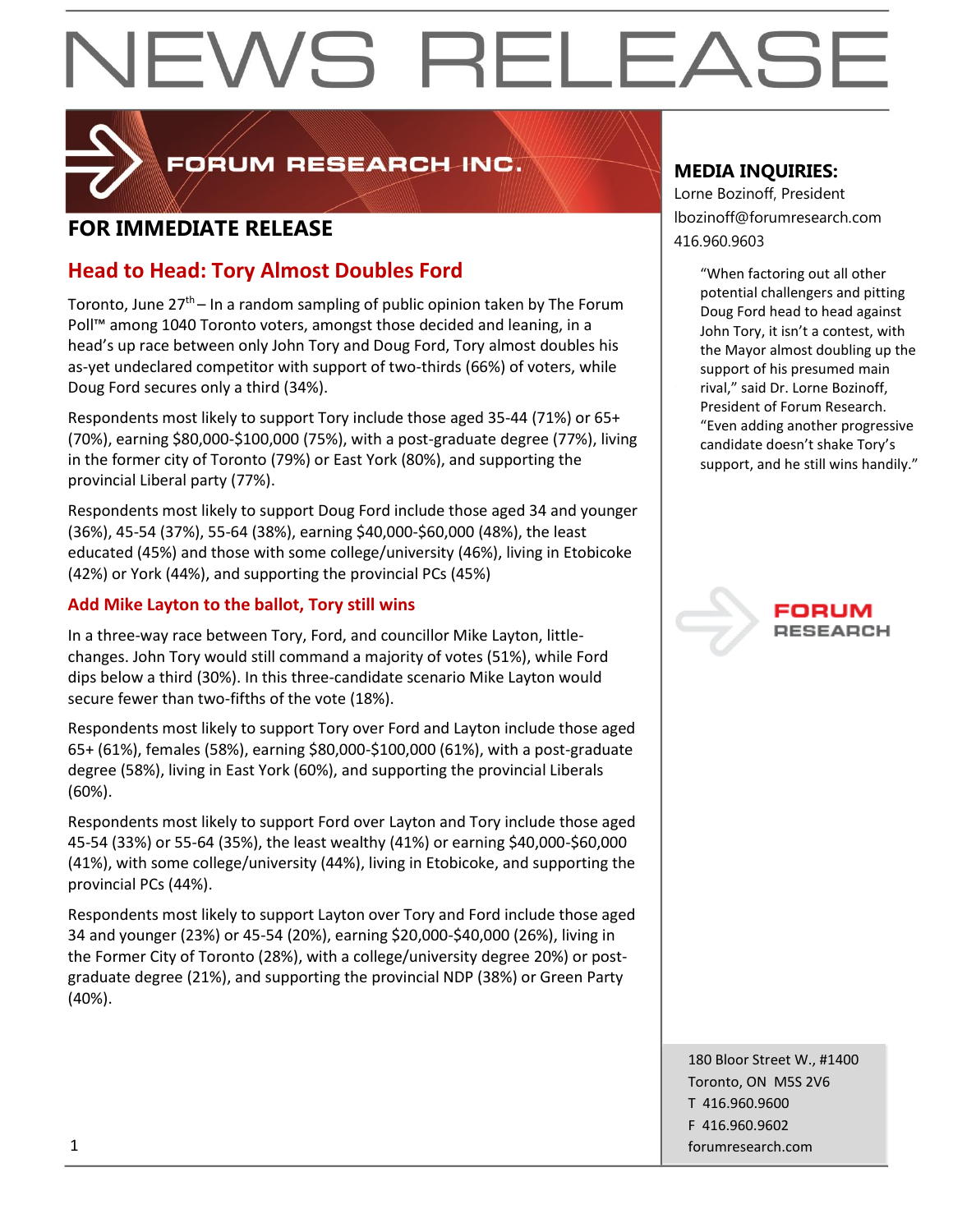

FORUM RESEARCH INC.

## **FOR IMMEDIATE RELEASE FOR IMMEDIATE RELEASE**

### **Head to Head: Tory Almost Doubles Ford**

Toronto, June  $27<sup>th</sup>$  – In a random sampling of public opinion taken by The Forum Poll™ among 1040 Toronto voters, amongst those decided and leaning, in a head's up race between only John Tory and Doug Ford, Tory almost doubles his as-yet undeclared competitor with support of two-thirds (66%) of voters, while Doug Ford secures only a third (34%).

Respondents most likely to support Tory include those aged 35-44 (71%) or 65+ (70%), earning \$80,000-\$100,000 (75%), with a post-graduate degree (77%), living in the former city of Toronto (79%) or East York (80%), and supporting the provincial Liberal party (77%).

Respondents most likely to support Doug Ford include those aged 34 and younger (36%), 45-54 (37%), 55-64 (38%), earning \$40,000-\$60,000 (48%), the least educated (45%) and those with some college/university (46%), living in Etobicoke (42%) or York (44%), and supporting the provincial PCs (45%)

#### **Add Mike Layton to the ballot, Tory still wins**

In a three-way race between Tory, Ford, and councillor Mike Layton, littlechanges. John Tory would still command a majority of votes (51%), while Ford dips below a third (30%). In this three-candidate scenario Mike Layton would secure fewer than two-fifths of the vote (18%).

Respondents most likely to support Tory over Ford and Layton include those aged 65+ (61%), females (58%), earning \$80,000-\$100,000 (61%), with a post-graduate degree (58%), living in East York (60%), and supporting the provincial Liberals (60%).

Respondents most likely to support Ford over Layton and Tory include those aged 45-54 (33%) or 55-64 (35%), the least wealthy (41%) or earning \$40,000-\$60,000 (41%), with some college/university (44%), living in Etobicoke, and supporting the provincial PCs (44%).

Respondents most likely to support Layton over Tory and Ford include those aged 34 and younger (23%) or 45-54 (20%), earning \$20,000-\$40,000 (26%), living in the Former City of Toronto (28%), with a college/university degree 20%) or postgraduate degree (21%), and supporting the provincial NDP (38%) or Green Party (40%).

#### **MEDIA INQUIRIES:**

Lorne Bozinoff, President lbozinoff@forumresearch.com

> "When factoring out all other potential challengers and pitting Doug Ford head to head against John Tory, it isn't a contest, with the Mayor almost doubling up the support of his presumed main rival," said Dr. Lorne Bozinoff, President of Forum Research. "Even adding another progressive candidate doesn't shake Tory's support, and he still wins handily."



180 Bloor Street W., #1400 Toronto, ON M5S 2V6 T 416.960.9600 F 416.960.9602 1 forumresearch.com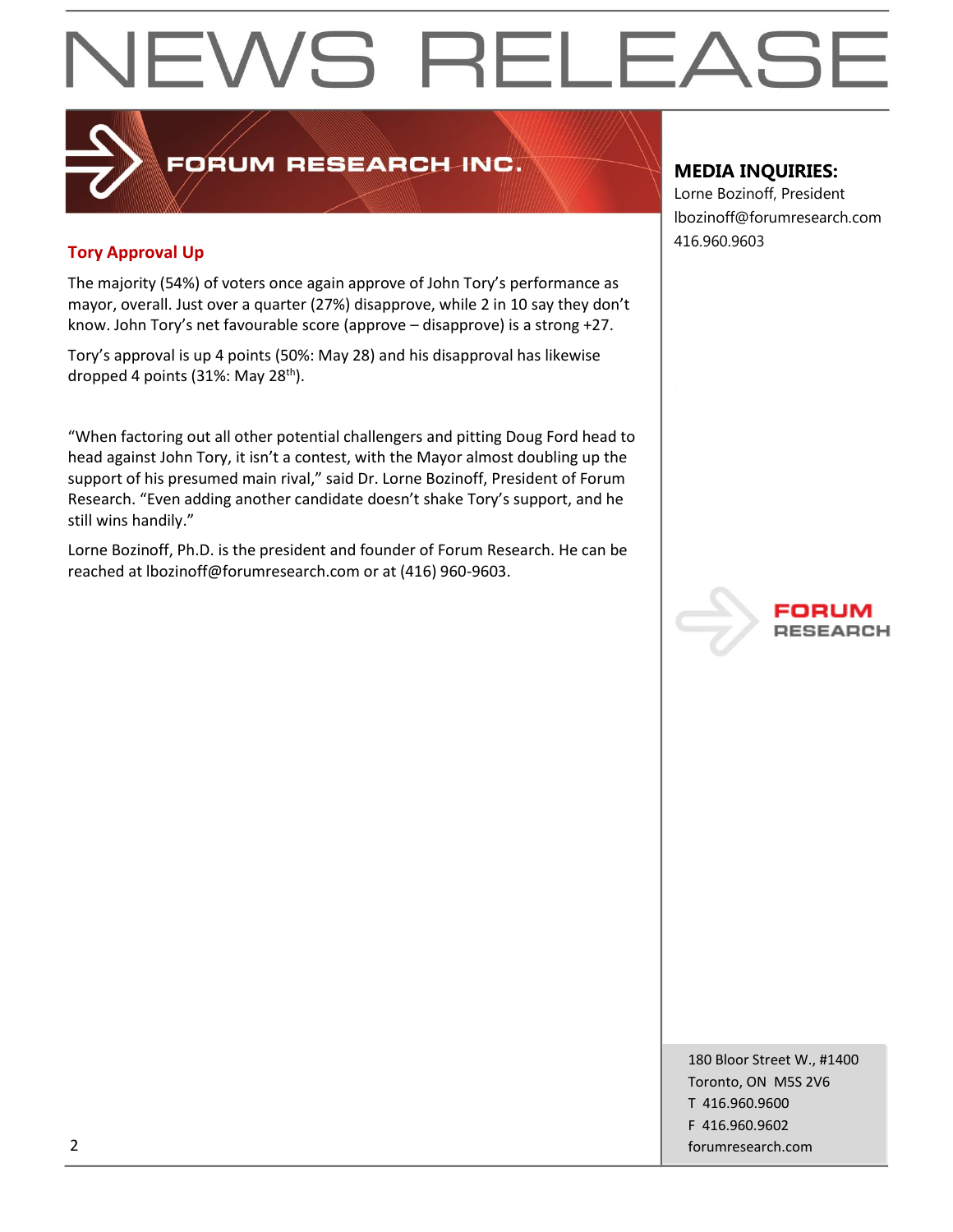## 416.960.9603 **Tory Approval Up**

The majority (54%) of voters once again approve of John Tory's performance as mayor, overall. Just over a quarter (27%) disapprove, while 2 in 10 say they don't know. John Tory's net favourable score (approve – disapprove) is a strong +27.

FORUM RESEARCH INC.

Tory's approval is up 4 points (50%: May 28) and his disapproval has likewise dropped 4 points (31%: May 28<sup>th</sup>).

"When factoring out all other potential challengers and pitting Doug Ford head to head against John Tory, it isn't a contest, with the Mayor almost doubling up the support of his presumed main rival," said Dr. Lorne Bozinoff, President of Forum Research. "Even adding another candidate doesn't shake Tory's support, and he still wins handily."

Lorne Bozinoff, Ph.D. is the president and founder of Forum Research. He can be reached at lbozinoff@forumresearch.com or at (416) 960-9603.

#### **MEDIA INQUIRIES:**

Lorne Bozinoff, President lbozinoff@forumresearch.com



180 Bloor Street W., #1400 Toronto, ON M5S 2V6 T 416.960.9600 F 416.960.9602 2 forumresearch.com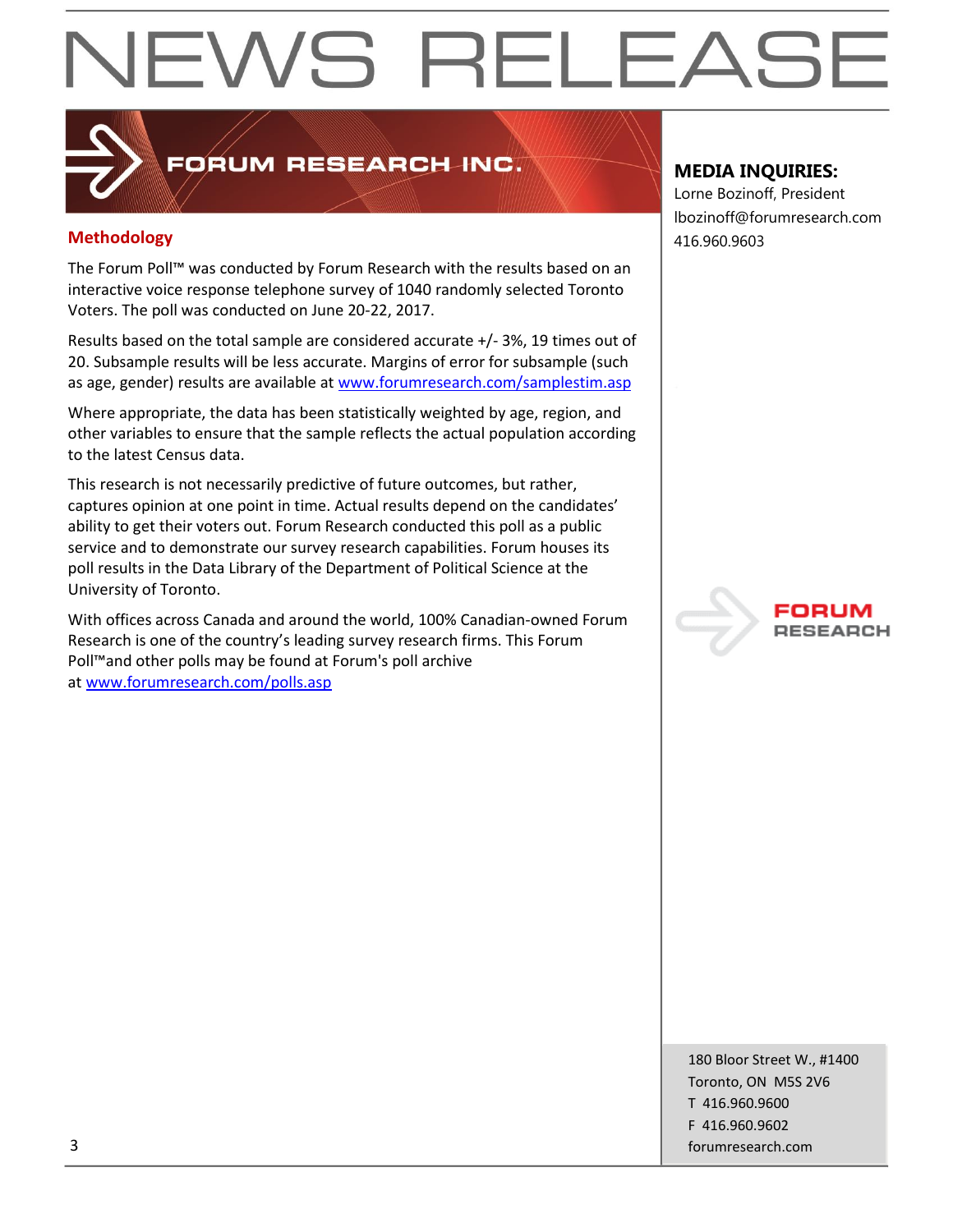### FORUM RESEARCH INC.

#### **Methodology** 416.960.9603

The Forum Poll™ was conducted by Forum Research with the results based on an interactive voice response telephone survey of 1040 randomly selected Toronto Voters. The poll was conducted on June 20-22, 2017.

Results based on the total sample are considered accurate +/- 3%, 19 times out of 20. Subsample results will be less accurate. Margins of error for subsample (such as age, gender) results are available at [www.forumresearch.com/samplestim.asp](http://www.forumresearch.com/samplestim.asp)

Where appropriate, the data has been statistically weighted by age, region, and other variables to ensure that the sample reflects the actual population according to the latest Census data.

This research is not necessarily predictive of future outcomes, but rather, captures opinion at one point in time. Actual results depend on the candidates' ability to get their voters out. Forum Research conducted this poll as a public service and to demonstrate our survey research capabilities. Forum houses its poll results in the Data Library of the Department of Political Science at the University of Toronto.

With offices across Canada and around the world, 100% Canadian-owned Forum Research is one of the country's leading survey research firms. This Forum Poll™and other polls may be found at Forum's poll archive at [www.forumresearch.com/polls.asp](http://www.forumresearch.com/polls.asp)

### **MEDIA INQUIRIES:**

Lorne Bozinoff, President lbozinoff@forumresearch.com



180 Bloor Street W., #1400 Toronto, ON M5S 2V6 T 416.960.9600 F 416.960.9602 3 forumresearch.com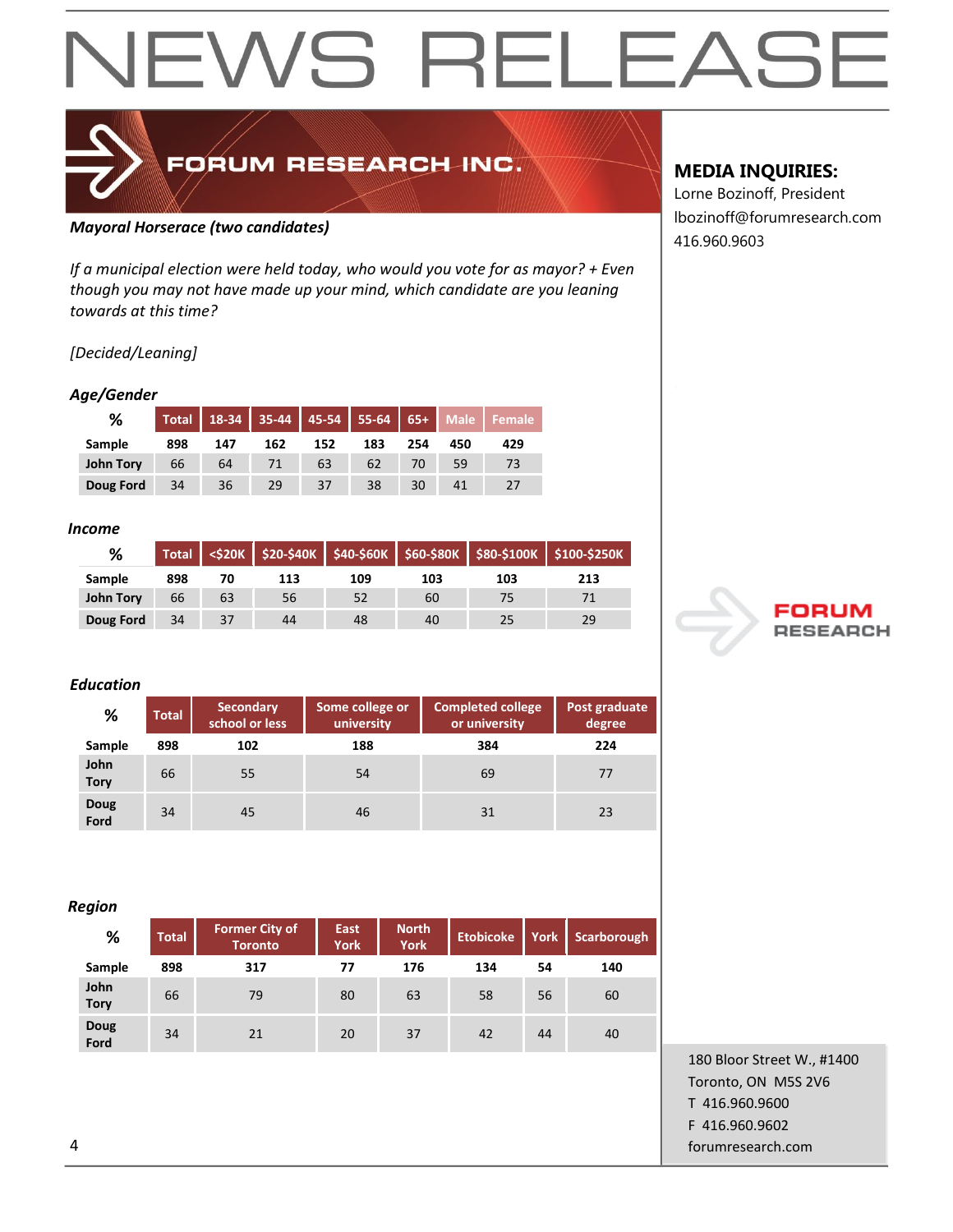### FORUM RESEARCH INC.

#### *Mayoral Horserace (two candidates)*

*If a municipal election were held today, who would you vote for as mayor? + Even though you may not have made up your mind, which candidate are you leaning towards at this time?*

#### *[Decided/Leaning]*

#### *Age/Gender*

| ℅         |     |     |     |     |     |     |     | Total   18-34   35-44   45-54   55-64   65+   Male   Female |
|-----------|-----|-----|-----|-----|-----|-----|-----|-------------------------------------------------------------|
| Sample    | 898 | 147 | 162 | 152 | 183 | 254 | 450 | 429                                                         |
| John Tory | 66  | 64  |     | 63  | 62  | 70  | 59  | 73                                                          |
| Doug Ford | 34  | 36  | 29  |     | 38  | 30  |     |                                                             |

#### *Income*

| %                |     |    |     |     |     |     | Total <\$20K \$20-\$40K \$40-\$60K \$60-\$80K \$80-\$100K \$100-\$250K |
|------------------|-----|----|-----|-----|-----|-----|------------------------------------------------------------------------|
| Sample           | 898 | 70 | 113 | 109 | 103 | 103 | 213                                                                    |
| <b>John Tory</b> | 66  | 63 | 56  | 52  | 60  | 75  |                                                                        |
| Doug Ford        | 34  | 37 | 44  | 48  | 40  | 25  | 29                                                                     |

#### *Education*

| %                   | <b>Total</b> | <b>Secondary</b><br>school or less | Some college or<br>university | <b>Completed college</b><br>or university | Post graduate<br>degree |
|---------------------|--------------|------------------------------------|-------------------------------|-------------------------------------------|-------------------------|
| Sample              | 898          | 102                                | 188                           | 384                                       | 224                     |
| John<br><b>Tory</b> | 66           | 55                                 | 54                            | 69                                        | 77                      |
| Doug<br>Ford        | 34           | 45                                 | 46                            | 31                                        | 23                      |

#### *Region*

| -                   |              |                                         |                            |                             |                  |      |                    |
|---------------------|--------------|-----------------------------------------|----------------------------|-----------------------------|------------------|------|--------------------|
| %                   | <b>Total</b> | <b>Former City of</b><br><b>Toronto</b> | <b>East</b><br><b>York</b> | <b>North</b><br><b>York</b> | <b>Etobicoke</b> | York | <b>Scarborough</b> |
| Sample              | 898          | 317                                     | 77                         | 176                         | 134              | 54   | 140                |
| John<br><b>Tory</b> | 66           | 79                                      | 80                         | 63                          | 58               | 56   | 60                 |
| Doug<br>Ford        | 34           | 21                                      | 20                         | 37                          | 42               | 44   | 40                 |

#### **MEDIA INQUIRIES:**

Lorne Bozinoff, President lbozinoff@forumresearch.com 416.960.9603



180 Bloor Street W., #1400 Toronto, ON M5S 2V6 T 416.960.9600 F 416.960.9602 4 forumresearch.com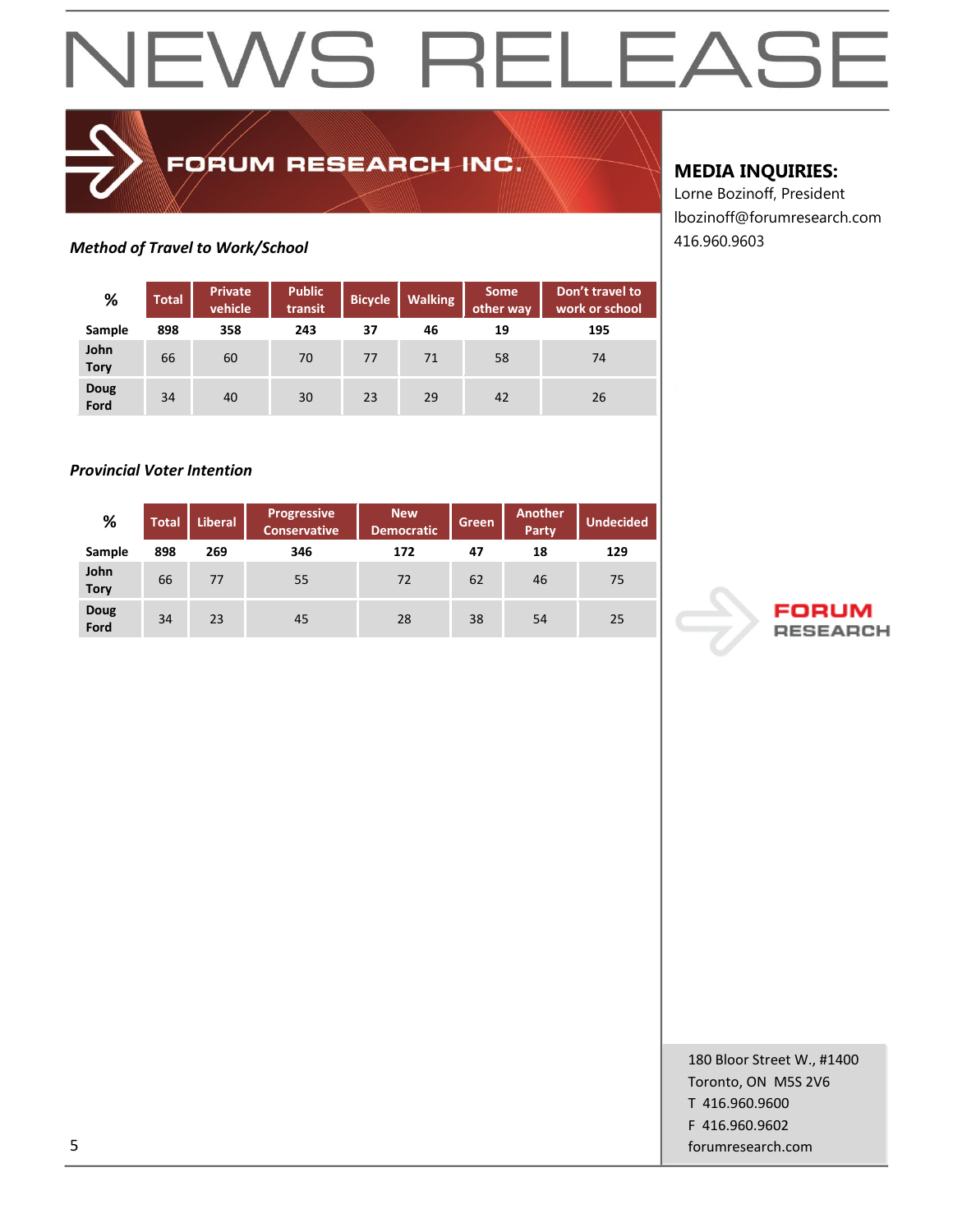### **Method of Travel to Work/School 416.960.9603**

| %                   | <b>Total</b> | <b>Private</b><br>vehicle | <b>Public</b><br>transit | <b>Bicycle</b> | <b>Walking</b> | <b>Some</b><br>other way | Don't travel to<br>work or school |
|---------------------|--------------|---------------------------|--------------------------|----------------|----------------|--------------------------|-----------------------------------|
| Sample              | 898          | 358                       | 243                      | 37             | 46             | 19                       | 195                               |
| John<br><b>Tory</b> | 66           | 60                        | 70                       | 77             | 71             | 58                       | 74                                |
| <b>Doug</b><br>Ford | 34           | 40                        | 30                       | 23             | 29             | 42                       | 26                                |

FORUM RESEARCH INC.

#### *Provincial Voter Intention*

| %                   | Total | <b>Liberal</b> | Progressive<br><b>Conservative</b> | <b>New</b><br>Democratic | Green | <b>Another</b><br>Party | <b>Undecided</b> |
|---------------------|-------|----------------|------------------------------------|--------------------------|-------|-------------------------|------------------|
| Sample              | 898   | 269            | 346                                | 172                      | 47    | 18                      | 129              |
| John<br><b>Tory</b> | 66    | 77             | 55                                 | 72                       | 62    | 46                      | 75               |
| Doug<br>Ford        | 34    | 23             | 45                                 | 28                       | 38    | 54                      | 25               |

#### **MEDIA INQUIRIES:**

Lorne Bozinoff, President lbozinoff@forumresearch.com



180 Bloor Street W., #1400 Toronto, ON M5S 2V6 T 416.960.9600 F 416.960.9602 5 forumresearch.com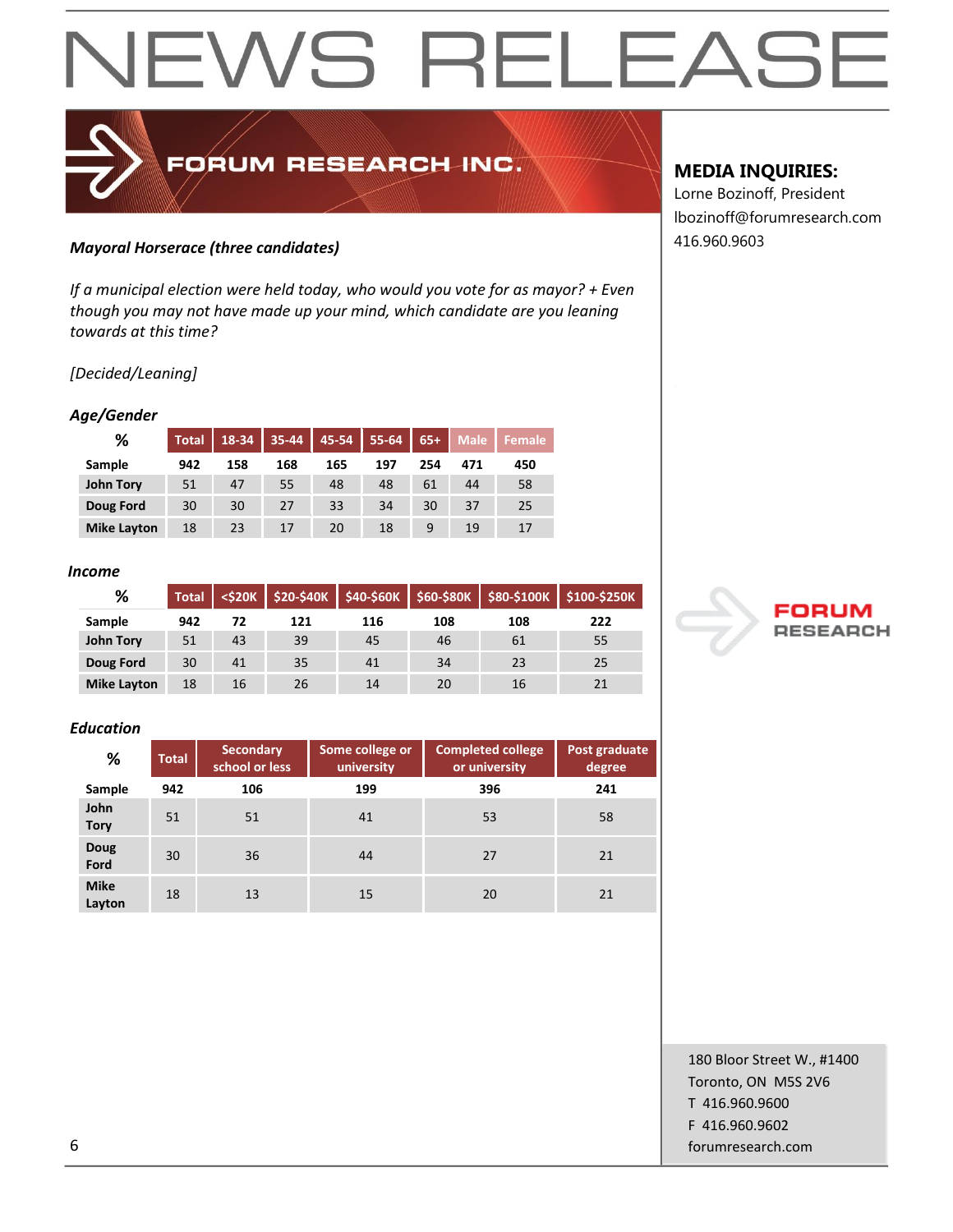## EWS RELEAS  $\overline{\phantom{a}}$

### *Mayoral Horserace (three candidates)* 416.960.9603

*If a municipal election were held today, who would you vote for as mayor? + Even though you may not have made up your mind, which candidate are you leaning towards at this time?*

FORUM RESEARCH INC.

#### *[Decided/Leaning]*

#### *Age/Gender*

| %                  | <b>Total</b> | 18-34 | 35-44 | 45-54 | 55-64 | $65+$ | <b>Male</b> | <b>Female</b> |
|--------------------|--------------|-------|-------|-------|-------|-------|-------------|---------------|
| Sample             | 942          | 158   | 168   | 165   | 197   | 254   | 471         | 450           |
| <b>John Tory</b>   | 51           | 47    | 55    | 48    | 48    | 61    | 44          | 58            |
| Doug Ford          | 30           | 30    | 27    | 33    | 34    | 30    | 37          | 25            |
| <b>Mike Layton</b> | 18           | 23    | 17    | 20    | 18    |       | 19          | 17            |

#### *Income*

| %                  | <b>Total</b> |    |     |     |     |     | <\$20K   \$20-\$40K   \$40-\$60K   \$60-\$80K   \$80-\$100K   \$100-\$250K |
|--------------------|--------------|----|-----|-----|-----|-----|----------------------------------------------------------------------------|
| Sample             | 942          | 72 | 121 | 116 | 108 | 108 | 222                                                                        |
| <b>John Tory</b>   | 51           | 43 | 39  | 45  | 46  | 61  | 55                                                                         |
| Doug Ford          | 30           | 41 | 35  | 41  | 34  | 23  | 25                                                                         |
| <b>Mike Layton</b> | 18           | 16 | 26  | 14  | 20  | 16  |                                                                            |

#### *Education*

| %                     | <b>Total</b> | <b>Secondary</b><br>school or less | Some college or<br>university | <b>Completed college</b><br>or university | Post graduate<br>degree |
|-----------------------|--------------|------------------------------------|-------------------------------|-------------------------------------------|-------------------------|
| Sample                | 942          | 106                                | 199                           | 396                                       | 241                     |
| John<br><b>Tory</b>   | 51           | 51                                 | 41                            | 53                                        | 58                      |
| <b>Doug</b><br>Ford   | 30           | 36                                 | 44                            | 27                                        | 21                      |
| <b>Mike</b><br>Layton | 18           | 13                                 | 15                            | 20                                        | 21                      |

#### **MEDIA INQUIRIES:**

Lorne Bozinoff, President lbozinoff@forumresearch.com



180 Bloor Street W., #1400 Toronto, ON M5S 2V6 T 416.960.9600 F 416.960.9602 6 forumresearch.com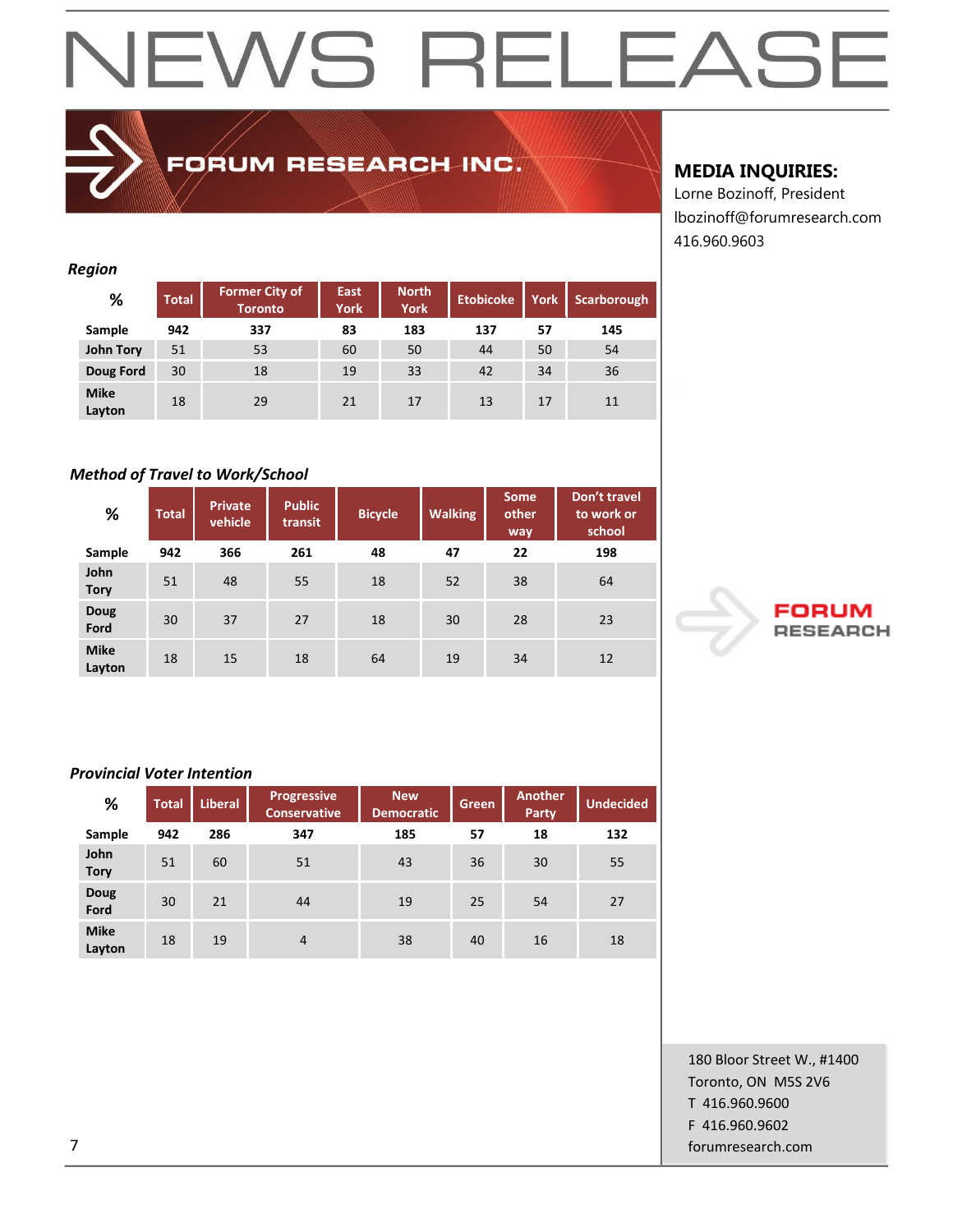## EWS RELEAS  $\blacktriangleleft$

#### *Region*  **% Total Former City of Toronto East York North York Etobicoke York Scarborough Sample 942 337 83 183 137 57 145 John Tory** 51 53 60 50 44 50 54 **Doug Ford** 30 18 19 33 42 34 36 **Mike Layton** 18 29 21 17 13 17 11

FORUM RESEARCH INC.

#### *Method of Travel to Work/School*

| %                     | <b>Total</b> | <b>Private</b><br>vehicle | <b>Public</b><br>transit | <b>Bicycle</b> | <b>Walking</b> | <b>Some</b><br>other<br>way | Don't travel<br>to work or<br>school |
|-----------------------|--------------|---------------------------|--------------------------|----------------|----------------|-----------------------------|--------------------------------------|
| Sample                | 942          | 366                       | 261                      | 48             | 47             | 22                          | 198                                  |
| John<br><b>Tory</b>   | 51           | 48                        | 55                       | 18             | 52             | 38                          | 64                                   |
| <b>Doug</b><br>Ford   | 30           | 37                        | 27                       | 18             | 30             | 28                          | 23                                   |
| <b>Mike</b><br>Layton | 18           | 15                        | 18                       | 64             | 19             | 34                          | 12                                   |

#### *Provincial Voter Intention*

| %                     | <b>Total</b> | <b>Liberal</b> | <b>Progressive</b><br><b>Conservative</b> | <b>New</b><br><b>Democratic</b> | Green | <b>Another</b><br>Party | <b>Undecided</b> |
|-----------------------|--------------|----------------|-------------------------------------------|---------------------------------|-------|-------------------------|------------------|
| Sample                | 942          | 286            | 347                                       | 185                             | 57    | 18                      | 132              |
| John<br><b>Tory</b>   | 51           | 60             | 51                                        | 43                              | 36    | 30                      | 55               |
| <b>Doug</b><br>Ford   | 30           | 21             | 44                                        | 19                              | 25    | 54                      | 27               |
| <b>Mike</b><br>Layton | 18           | 19             | $\overline{4}$                            | 38                              | 40    | 16                      | 18               |

### **MEDIA INQUIRIES:**

Lorne Bozinoff, President lbozinoff@forumresearch.com 416.960.9603



180 Bloor Street W., #1400 Toronto, ON M5S 2V6 T 416.960.9600 F 416.960.9602 7 forumresearch.com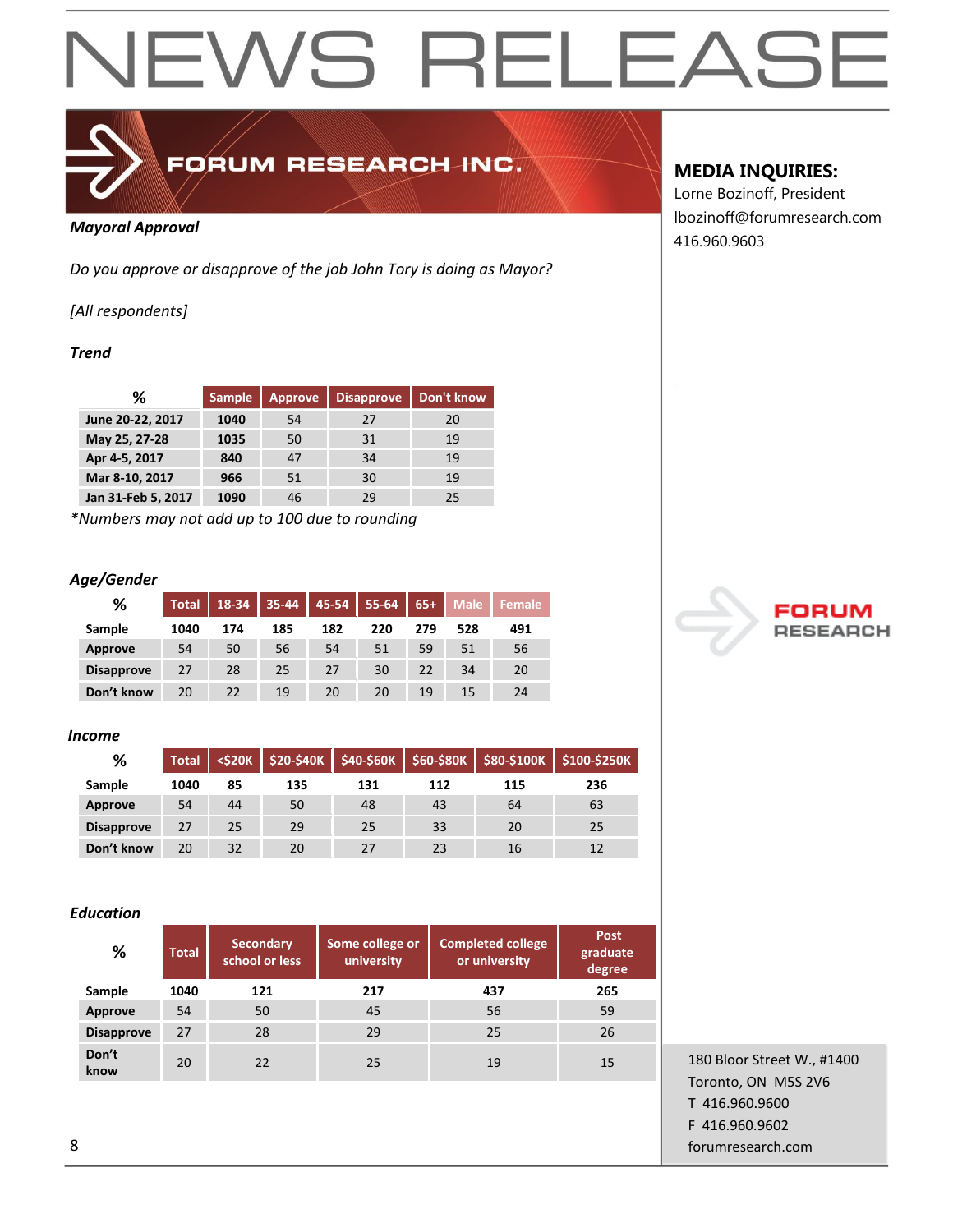

## FORUM RESEARCH INC.

#### *Mayoral Approval*

*Do you approve or disapprove of the job John Tory is doing as Mayor?*

*[All respondents]*

#### *Trend*

| ℅                  | <b>Sample</b> | <b>Approve</b> | <b>Disapprove</b> | Don't know |
|--------------------|---------------|----------------|-------------------|------------|
| June 20-22, 2017   | 1040          | 54             | 27                | 20         |
| May 25, 27-28      | 1035          | 50             | 31                | 19         |
| Apr 4-5, 2017      | 840           | 47             | 34                | 19         |
| Mar 8-10, 2017     | 966           | 51             | 30                | 19         |
| Jan 31-Feb 5, 2017 | 1090          | 46             | 29                | 25         |

*\*Numbers may not add up to 100 due to rounding*

#### *Age/Gender*

| %                 | <b>Total</b> | 18-34 | $35 - 44$ | $45-54$ | $55 - 64$ | $65+$ | <b>Male</b> | Female |
|-------------------|--------------|-------|-----------|---------|-----------|-------|-------------|--------|
| Sample            | 1040         | 174   | 185       | 182     | 220       | 279   | 528         | 491    |
| Approve           | 54           | 50    | 56        | 54      | 51        | 59    | 51          | 56     |
| <b>Disapprove</b> | 27           | 28    | 25        | 27      | 30        | 22    | 34          | 20     |
| Don't know        | 20           | 22    | 19        | 20      | 20        | 19    | 15          | 24     |

#### *Income*

| %                 | <b>Total</b> |    |     |     |     |     | <\$20K   \$20-\$40K   \$40-\$60K   \$60-\$80K   \$80-\$100K   \$100-\$250K |
|-------------------|--------------|----|-----|-----|-----|-----|----------------------------------------------------------------------------|
| Sample            | 1040         | 85 | 135 | 131 | 112 | 115 | 236                                                                        |
| <b>Approve</b>    | 54           | 44 | 50  | 48  | 43  | 64  | 63                                                                         |
| <b>Disapprove</b> | 27           | 25 | 29  | 25  | 33  | 20  | 25                                                                         |
| Don't know        | 20           | 32 | 20  | 27  | 23  | 16  | 12                                                                         |

#### *Education*

| %                 | <b>Total</b> | <b>Secondary</b><br>school or less | Some college or<br>university | <b>Completed college</b><br>or university | Post<br>graduate<br>degree |
|-------------------|--------------|------------------------------------|-------------------------------|-------------------------------------------|----------------------------|
| Sample            | 1040         | 121                                | 217                           | 437                                       | 265                        |
| <b>Approve</b>    | 54           | 50                                 | 45                            | 56                                        | 59                         |
| <b>Disapprove</b> | 27           | 28                                 | 29                            | 25                                        | 26                         |
| Don't<br>know     | 20           | 22                                 | 25                            | 19                                        | 15                         |

#### **MEDIA INQUIRIES:**

Lorne Bozinoff, President lbozinoff@forumresearch.com 416.960.9603



180 Bloor Street W., #1400 Toronto, ON M5S 2V6 T 416.960.9600 F 416.960.9602 8 forumresearch.com